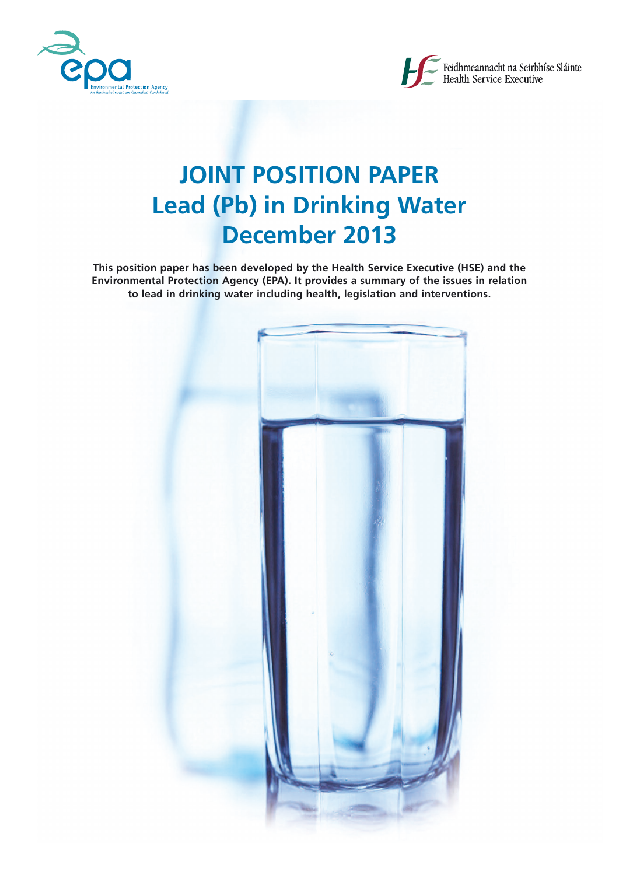



# **JOINT POSITION PAPER Lead (Pb) in Drinking Water December 2013**

**This position paper has been developed by the Health Service Executive (HSE) and the Environmental Protection Agency (EPA). It provides a summary of the issues in relation to lead in drinking water including health, legislation and interventions.**

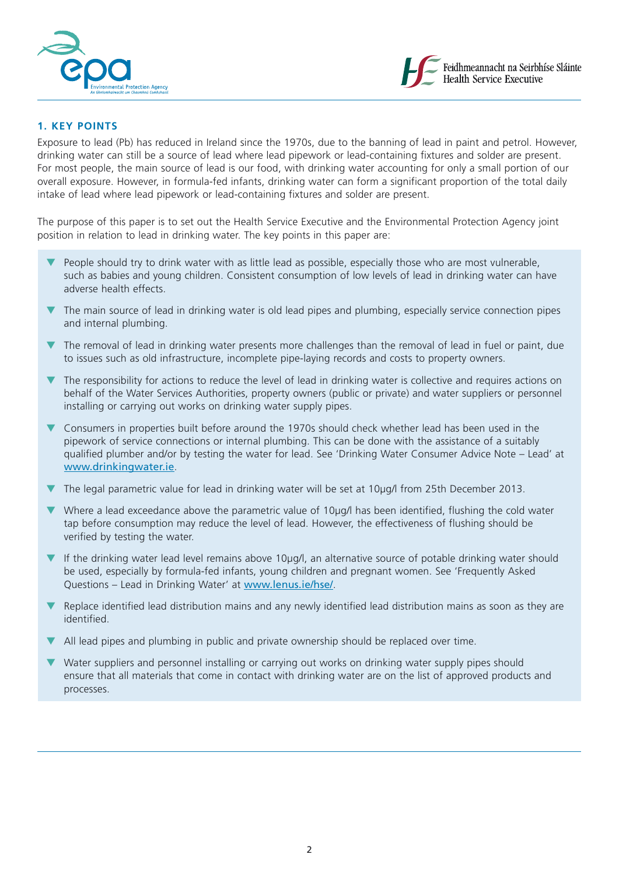



## **1. KEY POINTS**

Exposure to lead (Pb) has reduced in Ireland since the 1970s, due to the banning of lead in paint and petrol. However, drinking water can still be a source of lead where lead pipework or lead-containing fixtures and solder are present. For most people, the main source of lead is our food, with drinking water accounting for only a small portion of our overall exposure. However, in formula-fed infants, drinking water can form a significant proportion of the total daily intake of lead where lead pipework or lead-containing fixtures and solder are present.

The purpose of this paper is to set out the Health Service Executive and the Environmental Protection Agency joint position in relation to lead in drinking water. The key points in this paper are:

- People should try to drink water with as little lead as possible, especially those who are most vulnerable, such as babies and young children. Consistent consumption of low levels of lead in drinking water can have adverse health effects.
- The main source of lead in drinking water is old lead pipes and plumbing, especially service connection pipes and internal plumbing.
- The removal of lead in drinking water presents more challenges than the removal of lead in fuel or paint, due to issues such as old infrastructure, incomplete pipe-laying records and costs to property owners.
- The responsibility for actions to reduce the level of lead in drinking water is collective and requires actions on behalf of the Water Services Authorities, property owners (public or private) and water suppliers or personnel installing or carrying out works on drinking water supply pipes.
- Consumers in properties built before around the 1970s should check whether lead has been used in the pipework of service connections or internal plumbing. This can be done with the assistance of a suitably qualified plumber and/or by testing the water for lead. See 'Drinking Water Consumer Advice Note – Lead' at www.drinkingwater.ie.
- The legal parametric value for lead in drinking water will be set at 10μg/l from 25th December 2013.
- Where a lead exceedance above the parametric value of 10μg/l has been identified, flushing the cold water tap before consumption may reduce the level of lead. However, the effectiveness of flushing should be verified by testing the water.
- If the drinking water lead level remains above 10µg/l, an alternative source of potable drinking water should be used, especially by formula-fed infants, young children and pregnant women. See 'Frequently Asked Questions – Lead in Drinking Water' at [www.lenus.ie/hse/](http://www.lenus.ie/hse/).
- Replace identified lead distribution mains and any newly identified lead distribution mains as soon as they are identified.
- All lead pipes and plumbing in public and private ownership should be replaced over time.
- Water suppliers and personnel installing or carrying out works on drinking water supply pipes should ensure that all materials that come in contact with drinking water are on the list of approved products and processes.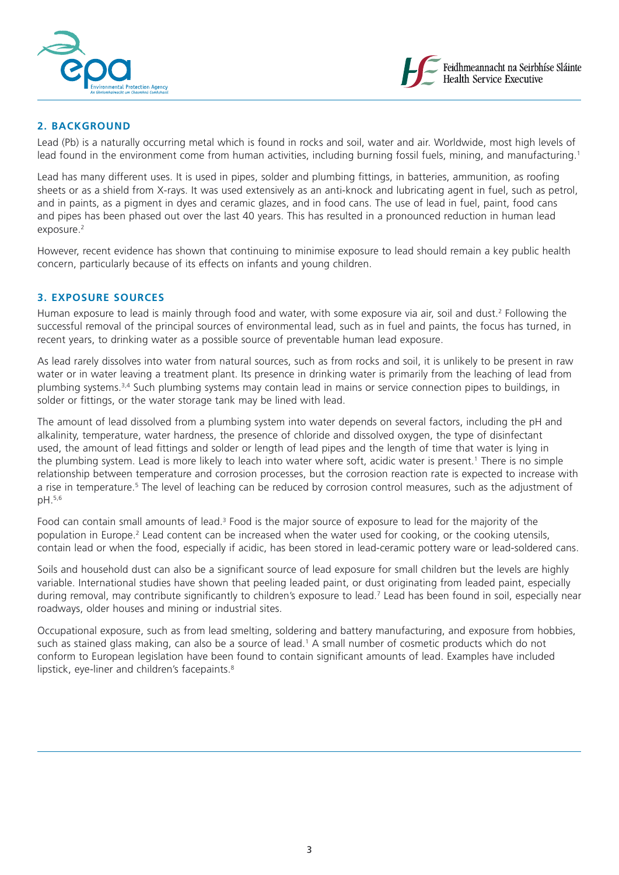



## **2. BACKGROUND**

Lead (Pb) is a naturally occurring metal which is found in rocks and soil, water and air. Worldwide, most high levels of lead found in the environment come from human activities, including burning fossil fuels, mining, and manufacturing.<sup>1</sup>

Lead has many different uses. It is used in pipes, solder and plumbing fittings, in batteries, ammunition, as roofing sheets or as a shield from X-rays. It was used extensively as an anti-knock and lubricating agent in fuel, such as petrol, and in paints, as a pigment in dyes and ceramic glazes, and in food cans. The use of lead in fuel, paint, food cans and pipes has been phased out over the last 40 years. This has resulted in a pronounced reduction in human lead exposure.<sup>2</sup>

However, recent evidence has shown that continuing to minimise exposure to lead should remain a key public health concern, particularly because of its effects on infants and young children.

# **3. EXPOSURE SOURCES**

Human exposure to lead is mainly through food and water, with some exposure via air, soil and dust.<sup>2</sup> Following the successful removal of the principal sources of environmental lead, such as in fuel and paints, the focus has turned, in recent years, to drinking water as a possible source of preventable human lead exposure.

As lead rarely dissolves into water from natural sources, such as from rocks and soil, it is unlikely to be present in raw water or in water leaving a treatment plant. Its presence in drinking water is primarily from the leaching of lead from plumbing systems.3,4 Such plumbing systems may contain lead in mains or service connection pipes to buildings, in solder or fittings, or the water storage tank may be lined with lead.

The amount of lead dissolved from a plumbing system into water depends on several factors, including the pH and alkalinity, temperature, water hardness, the presence of chloride and dissolved oxygen, the type of disinfectant used, the amount of lead fittings and solder or length of lead pipes and the length of time that water is lying in the plumbing system. Lead is more likely to leach into water where soft, acidic water is present.<sup>1</sup> There is no simple relationship between temperature and corrosion processes, but the corrosion reaction rate is expected to increase with a rise in temperature.<sup>5</sup> The level of leaching can be reduced by corrosion control measures, such as the adjustment of pH.5,6

Food can contain small amounts of lead.<sup>3</sup> Food is the major source of exposure to lead for the majority of the population in Europe.<sup>2</sup> Lead content can be increased when the water used for cooking, or the cooking utensils, contain lead or when the food, especially if acidic, has been stored in lead-ceramic pottery ware or lead-soldered cans.

Soils and household dust can also be a significant source of lead exposure for small children but the levels are highly variable. International studies have shown that peeling leaded paint, or dust originating from leaded paint, especially during removal, may contribute significantly to children's exposure to lead.<sup>7</sup> Lead has been found in soil, especially near roadways, older houses and mining or industrial sites.

Occupational exposure, such as from lead smelting, soldering and battery manufacturing, and exposure from hobbies, such as stained glass making, can also be a source of lead.<sup>1</sup> A small number of cosmetic products which do not conform to European legislation have been found to contain significant amounts of lead. Examples have included lipstick, eye-liner and children's facepaints.<sup>8</sup>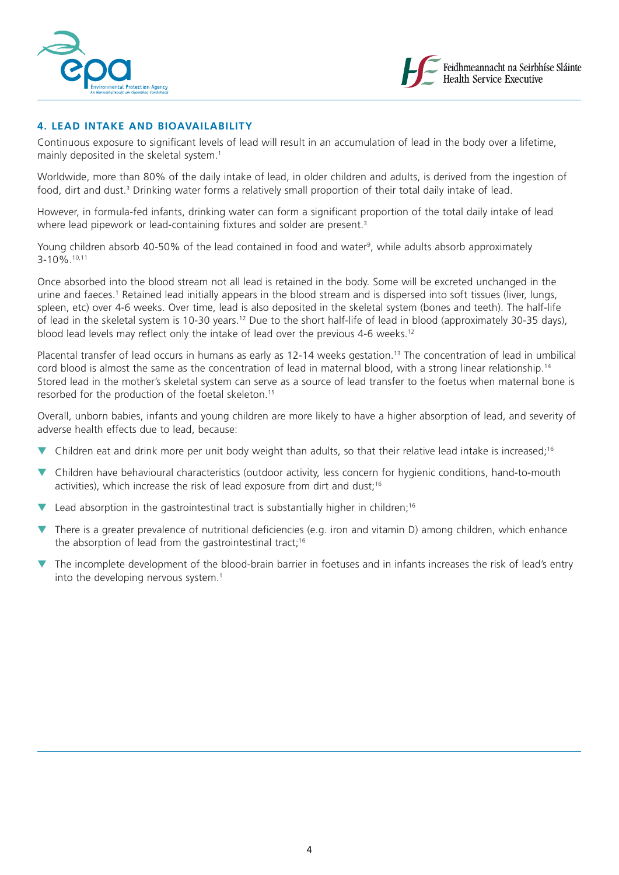



## **4. LEAD INTAKE AND BIOAVAILABILITY**

Continuous exposure to significant levels of lead will result in an accumulation of lead in the body over a lifetime, mainly deposited in the skeletal system.<sup>1</sup>

Worldwide, more than 80% of the daily intake of lead, in older children and adults, is derived from the ingestion of food, dirt and dust.<sup>3</sup> Drinking water forms a relatively small proportion of their total daily intake of lead.

However, in formula-fed infants, drinking water can form a significant proportion of the total daily intake of lead where lead pipework or lead-containing fixtures and solder are present.<sup>3</sup>

Young children absorb 40-50% of the lead contained in food and water<sup>9</sup>, while adults absorb approximately 3-10%.10,11

Once absorbed into the blood stream not all lead is retained in the body. Some will be excreted unchanged in the urine and faeces.<sup>1</sup> Retained lead initially appears in the blood stream and is dispersed into soft tissues (liver, lungs, spleen, etc) over 4-6 weeks. Over time, lead is also deposited in the skeletal system (bones and teeth). The half-life of lead in the skeletal system is 10-30 years.12 Due to the short half-life of lead in blood (approximately 30-35 days), blood lead levels may reflect only the intake of lead over the previous 4-6 weeks.12

Placental transfer of lead occurs in humans as early as 12-14 weeks gestation.<sup>13</sup> The concentration of lead in umbilical cord blood is almost the same as the concentration of lead in maternal blood, with a strong linear relationship.<sup>14</sup> Stored lead in the mother's skeletal system can serve as a source of lead transfer to the foetus when maternal bone is resorbed for the production of the foetal skeleton.15

Overall, unborn babies, infants and young children are more likely to have a higher absorption of lead, and severity of adverse health effects due to lead, because:

- $\blacktriangledown$  Children eat and drink more per unit body weight than adults, so that their relative lead intake is increased;<sup>16</sup>
- Children have behavioural characteristics (outdoor activity, less concern for hygienic conditions, hand-to-mouth activities), which increase the risk of lead exposure from dirt and dust:<sup>16</sup>
- $\blacktriangledown$  Lead absorption in the gastrointestinal tract is substantially higher in children;<sup>16</sup>
- There is a greater prevalence of nutritional deficiencies (e.g. iron and vitamin D) among children, which enhance the absorption of lead from the gastrointestinal tract;<sup>16</sup>
- The incomplete development of the blood-brain barrier in foetuses and in infants increases the risk of lead's entry into the developing nervous system.<sup>1</sup>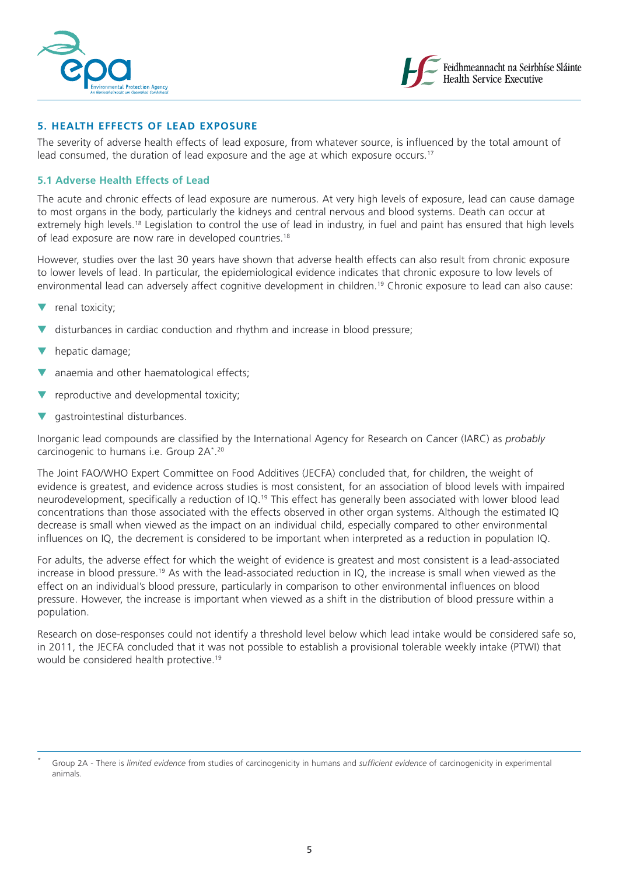



## **5. HEALTH EFFECTS OF LEAD EXPOSURE**

The severity of adverse health effects of lead exposure, from whatever source, is influenced by the total amount of lead consumed, the duration of lead exposure and the age at which exposure occurs.<sup>17</sup>

## **5.1 Adverse Health Effects of Lead**

The acute and chronic effects of lead exposure are numerous. At very high levels of exposure, lead can cause damage to most organs in the body, particularly the kidneys and central nervous and blood systems. Death can occur at extremely high levels.<sup>18</sup> Legislation to control the use of lead in industry, in fuel and paint has ensured that high levels of lead exposure are now rare in developed countries.<sup>18</sup>

However, studies over the last 30 years have shown that adverse health effects can also result from chronic exposure to lower levels of lead. In particular, the epidemiological evidence indicates that chronic exposure to low levels of environmental lead can adversely affect cognitive development in children.<sup>19</sup> Chronic exposure to lead can also cause:

- renal toxicity;
- disturbances in cardiac conduction and rhythm and increase in blood pressure;
- hepatic damage;
- anaemia and other haematological effects;
- reproductive and developmental toxicity;
- gastrointestinal disturbances.

Inorganic lead compounds are classified by the International Agency for Research on Cancer (IARC) as *probably* carcinogenic to humans i.e. Group 2A<sup>\*.20</sup>

The Joint FAO/WHO Expert Committee on Food Additives (JECFA) concluded that, for children, the weight of evidence is greatest, and evidence across studies is most consistent, for an association of blood levels with impaired neurodevelopment, specifically a reduction of IQ.19 This effect has generally been associated with lower blood lead concentrations than those associated with the effects observed in other organ systems. Although the estimated IQ decrease is small when viewed as the impact on an individual child, especially compared to other environmental influences on IQ, the decrement is considered to be important when interpreted as a reduction in population IQ.

For adults, the adverse effect for which the weight of evidence is greatest and most consistent is a lead-associated increase in blood pressure.19 As with the lead-associated reduction in IQ, the increase is small when viewed as the effect on an individual's blood pressure, particularly in comparison to other environmental influences on blood pressure. However, the increase is important when viewed as a shift in the distribution of blood pressure within a population.

Research on dose-responses could not identify a threshold level below which lead intake would be considered safe so, in 2011, the JECFA concluded that it was not possible to establish a provisional tolerable weekly intake (PTWI) that would be considered health protective.19

<sup>\*</sup> Group 2A - There is *limited evidence* from studies of carcinogenicity in humans and *sufficient evidence* of carcinogenicity in experimental animals.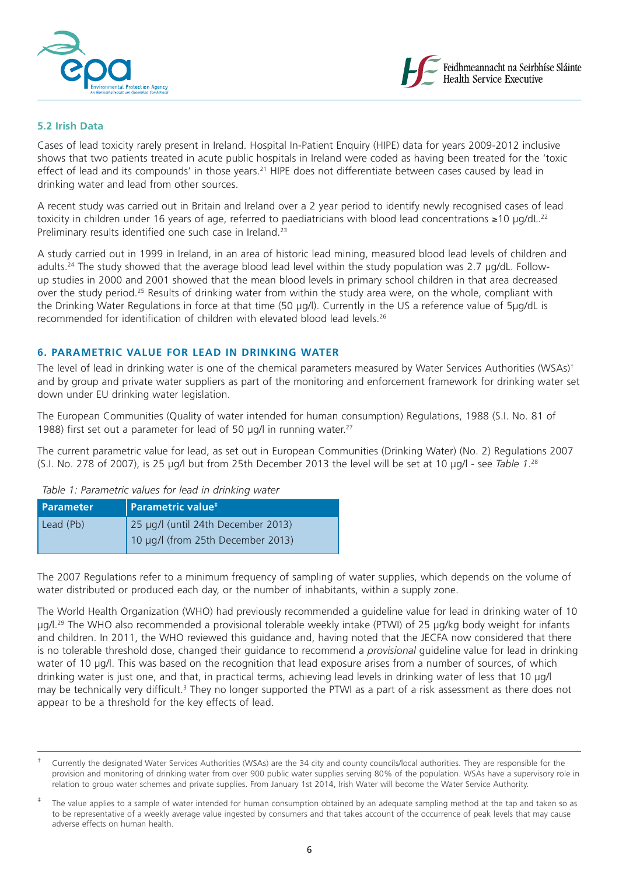



## **5.2 Irish Data**

Cases of lead toxicity rarely present in Ireland. Hospital In-Patient Enquiry (HIPE) data for years 2009-2012 inclusive shows that two patients treated in acute public hospitals in Ireland were coded as having been treated for the 'toxic effect of lead and its compounds' in those years.<sup>21</sup> HIPE does not differentiate between cases caused by lead in drinking water and lead from other sources.

A recent study was carried out in Britain and Ireland over a 2 year period to identify newly recognised cases of lead toxicity in children under 16 years of age, referred to paediatricians with blood lead concentrations ≥10 µg/dL.<sup>22</sup> Preliminary results identified one such case in Ireland.<sup>23</sup>

A study carried out in 1999 in Ireland, in an area of historic lead mining, measured blood lead levels of children and adults.<sup>24</sup> The study showed that the average blood lead level within the study population was 2.7 µg/dL. Followup studies in 2000 and 2001 showed that the mean blood levels in primary school children in that area decreased over the study period.<sup>25</sup> Results of drinking water from within the study area were, on the whole, compliant with the Drinking Water Regulations in force at that time (50 µg/l). Currently in the US a reference value of 5µg/dL is recommended for identification of children with elevated blood lead levels.26

## **6. PARAMETRIC VALUE FOR LEAD IN DRINKING WATER**

The level of lead in drinking water is one of the chemical parameters measured by Water Services Authorities (WSAs)<sup>†</sup> and by group and private water suppliers as part of the monitoring and enforcement framework for drinking water set down under EU drinking water legislation.

The European Communities (Quality of water intended for human consumption) Regulations, 1988 (S.I. No. 81 of 1988) first set out a parameter for lead of 50  $\mu$ g/l in running water.<sup>27</sup>

The current parametric value for lead, as set out in European Communities (Drinking Water) (No. 2) Regulations 2007 (S.I. No. 278 of 2007), is 25 µg/l but from 25th December 2013 the level will be set at 10 µg/l - see *Table 1*. 28

#### *Table 1: Parametric values for lead in drinking water*

| <b>Parameter</b> | Parametric value <sup>#</sup>      |  |  |
|------------------|------------------------------------|--|--|
| Lead (Pb)        | 25 µg/l (until 24th December 2013) |  |  |
|                  | 10 µg/l (from 25th December 2013)  |  |  |

The 2007 Regulations refer to a minimum frequency of sampling of water supplies, which depends on the volume of water distributed or produced each day, or the number of inhabitants, within a supply zone.

The World Health Organization (WHO) had previously recommended a guideline value for lead in drinking water of 10 ug/l.<sup>29</sup> The WHO also recommended a provisional tolerable weekly intake (PTWI) of 25 ug/kg body weight for infants and children. In 2011, the WHO reviewed this guidance and, having noted that the JECFA now considered that there is no tolerable threshold dose, changed their guidance to recommend a *provisional* guideline value for lead in drinking water of 10 µg/l. This was based on the recognition that lead exposure arises from a number of sources, of which drinking water is just one, and that, in practical terms, achieving lead levels in drinking water of less that 10 µg/l may be technically very difficult.<sup>3</sup> They no longer supported the PTWI as a part of a risk assessment as there does not appear to be a threshold for the key effects of lead.

<sup>†</sup> Currently the designated Water Services Authorities (WSAs) are the 34 city and county councils/local authorities. They are responsible for the provision and monitoring of drinking water from over 900 public water supplies serving 80% of the population. WSAs have a supervisory role in relation to group water schemes and private supplies. From January 1st 2014, Irish Water will become the Water Service Authority.

<sup>‡</sup> The value applies to a sample of water intended for human consumption obtained by an adequate sampling method at the tap and taken so as to be representative of a weekly average value ingested by consumers and that takes account of the occurrence of peak levels that may cause adverse effects on human health.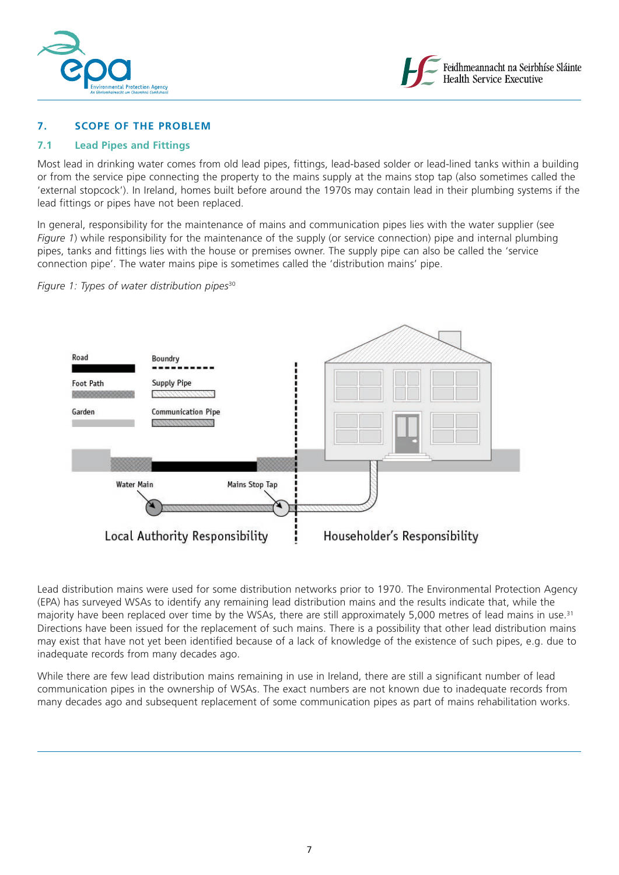



# **7. SCOPE OF THE PROBLEM**

## **7.1 Lead Pipes and Fittings**

Most lead in drinking water comes from old lead pipes, fittings, lead-based solder or lead-lined tanks within a building or from the service pipe connecting the property to the mains supply at the mains stop tap (also sometimes called the 'external stopcock'). In Ireland, homes built before around the 1970s may contain lead in their plumbing systems if the lead fittings or pipes have not been replaced.

In general, responsibility for the maintenance of mains and communication pipes lies with the water supplier (see *Figure 1*) while responsibility for the maintenance of the supply (or service connection) pipe and internal plumbing pipes, tanks and fittings lies with the house or premises owner. The supply pipe can also be called the 'service connection pipe'. The water mains pipe is sometimes called the 'distribution mains' pipe.



*Figure 1: Types of water distribution pipes*<sup>30</sup>

Lead distribution mains were used for some distribution networks prior to 1970. The Environmental Protection Agency (EPA) has surveyed WSAs to identify any remaining lead distribution mains and the results indicate that, while the majority have been replaced over time by the WSAs, there are still approximately 5,000 metres of lead mains in use.31 Directions have been issued for the replacement of such mains. There is a possibility that other lead distribution mains may exist that have not yet been identified because of a lack of knowledge of the existence of such pipes, e.g. due to inadequate records from many decades ago.

While there are few lead distribution mains remaining in use in Ireland, there are still a significant number of lead communication pipes in the ownership of WSAs. The exact numbers are not known due to inadequate records from many decades ago and subsequent replacement of some communication pipes as part of mains rehabilitation works.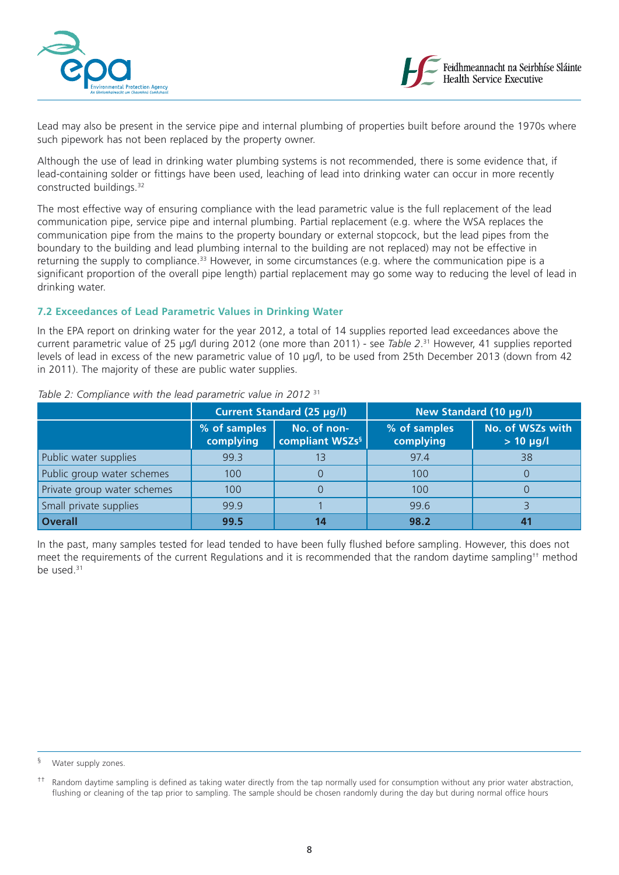



Lead may also be present in the service pipe and internal plumbing of properties built before around the 1970s where such pipework has not been replaced by the property owner.

Although the use of lead in drinking water plumbing systems is not recommended, there is some evidence that, if lead-containing solder or fittings have been used, leaching of lead into drinking water can occur in more recently constructed buildings.32

The most effective way of ensuring compliance with the lead parametric value is the full replacement of the lead communication pipe, service pipe and internal plumbing. Partial replacement (e.g. where the WSA replaces the communication pipe from the mains to the property boundary or external stopcock, but the lead pipes from the boundary to the building and lead plumbing internal to the building are not replaced) may not be effective in returning the supply to compliance.<sup>33</sup> However, in some circumstances (e.g. where the communication pipe is a significant proportion of the overall pipe length) partial replacement may go some way to reducing the level of lead in drinking water.

## **7.2 Exceedances of Lead Parametric Values in Drinking Water**

In the EPA report on drinking water for the year 2012, a total of 14 supplies reported lead exceedances above the current parametric value of 25 µg/l during 2012 (one more than 2011) - see *Table 2*. 31 However, 41 supplies reported levels of lead in excess of the new parametric value of 10 µg/l, to be used from 25th December 2013 (down from 42 in 2011). The majority of these are public water supplies.

|                             | <b>Current Standard (25 µg/l)</b> |                                            | New Standard (10 µg/l)    |                                 |
|-----------------------------|-----------------------------------|--------------------------------------------|---------------------------|---------------------------------|
|                             | % of samples<br>complying         | No. of non-<br>compliant WSZs <sup>§</sup> | % of samples<br>complying | No. of WSZs with<br>$> 10$ µg/l |
| Public water supplies       | 99.3                              | 13                                         | 97.4                      | 38                              |
| Public group water schemes  | 100                               |                                            | 100                       |                                 |
| Private group water schemes | 100                               |                                            | 100                       |                                 |
| Small private supplies      | 99.9                              |                                            | 99.6                      |                                 |
| <b>Overall</b>              | 99.5                              |                                            | 98.2                      |                                 |

#### *Table 2: Compliance with the lead parametric value in 2012* <sup>31</sup>

In the past, many samples tested for lead tended to have been fully flushed before sampling. However, this does not meet the requirements of the current Regulations and it is recommended that the random daytime sampling†† method be used.<sup>31</sup>

<sup>§</sup> Water supply zones.

Random daytime sampling is defined as taking water directly from the tap normally used for consumption without any prior water abstraction, flushing or cleaning of the tap prior to sampling. The sample should be chosen randomly during the day but during normal office hours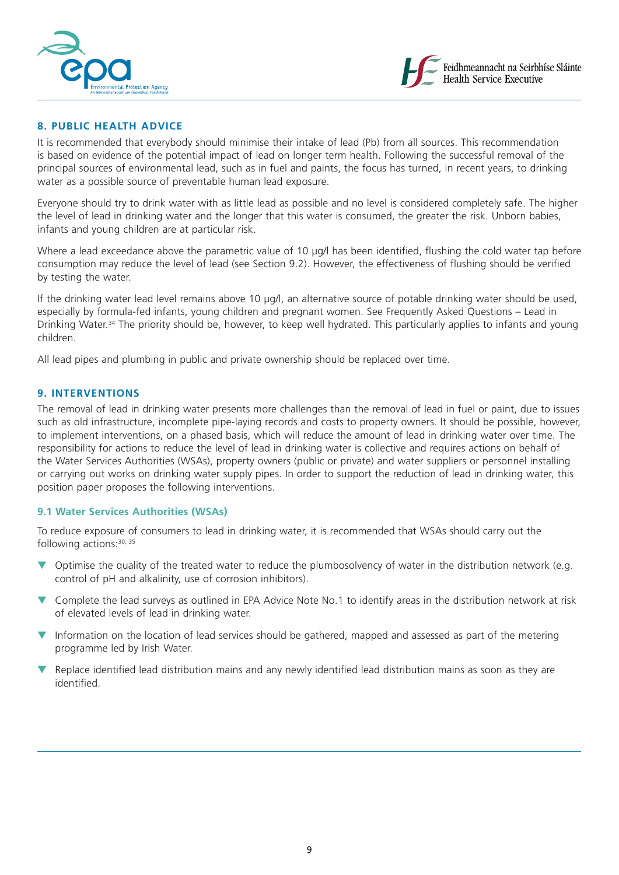



## **8. PUBLIC HEALTH ADVICE**

It is recommended that everybody should minimise their intake of lead (Pb) from all sources. This recommendation is based on evidence of the potential impact of lead on longer term health. Following the successful removal of the principal sources of environmental lead, such as in fuel and paints, the focus has turned, in recent years, to drinking water as a possible source of preventable human lead exposure.

Everyone should try to drink water with as little lead as possible and no level is considered completely safe. The higher the level of lead in drinking water and the longer that this water is consumed, the greater the risk. Unborn babies, infants and young children are at particular risk.

Where a lead exceedance above the parametric value of 10 µg/l has been identified, flushing the cold water tap before consumption may reduce the level of lead (see Section 9.2). However, the effectiveness of flushing should be verified by testing the water.

If the drinking water lead level remains above 10 µg/l, an alternative source of potable drinking water should be used, especially by formula-fed infants, young children and pregnant women. See Frequently Asked Questions – Lead in Drinking Water.34 The priority should be, however, to keep well hydrated. This particularly applies to infants and young children.

All lead pipes and plumbing in public and private ownership should be replaced over time.

## **9. INTERVENTIONS**

The removal of lead in drinking water presents more challenges than the removal of lead in fuel or paint, due to issues such as old infrastructure, incomplete pipe-laying records and costs to property owners. It should be possible, however, to implement interventions, on a phased basis, which will reduce the amount of lead in drinking water over time. The responsibility for actions to reduce the level of lead in drinking water is collective and requires actions on behalf of the Water Services Authorities (WSAs), property owners (public or private) and water suppliers or personnel installing or carrying out works on drinking water supply pipes. In order to support the reduction of lead in drinking water, this position paper proposes the following interventions.

## **9.1 Water Services Authorities (WSAs)**

To reduce exposure of consumers to lead in drinking water, it is recommended that WSAs should carry out the following actions: 30, 35

- Optimise the quality of the treated water to reduce the plumbosolvency of water in the distribution network (e.g. control of pH and alkalinity, use of corrosion inhibitors).
- ▼ Complete the lead surveys as outlined in EPA Advice Note No.1 to identify areas in the distribution network at risk of elevated levels of lead in drinking water.
- ▼ Information on the location of lead services should be gathered, mapped and assessed as part of the metering programme led by Irish Water.
- Replace identified lead distribution mains and any newly identified lead distribution mains as soon as they are identified.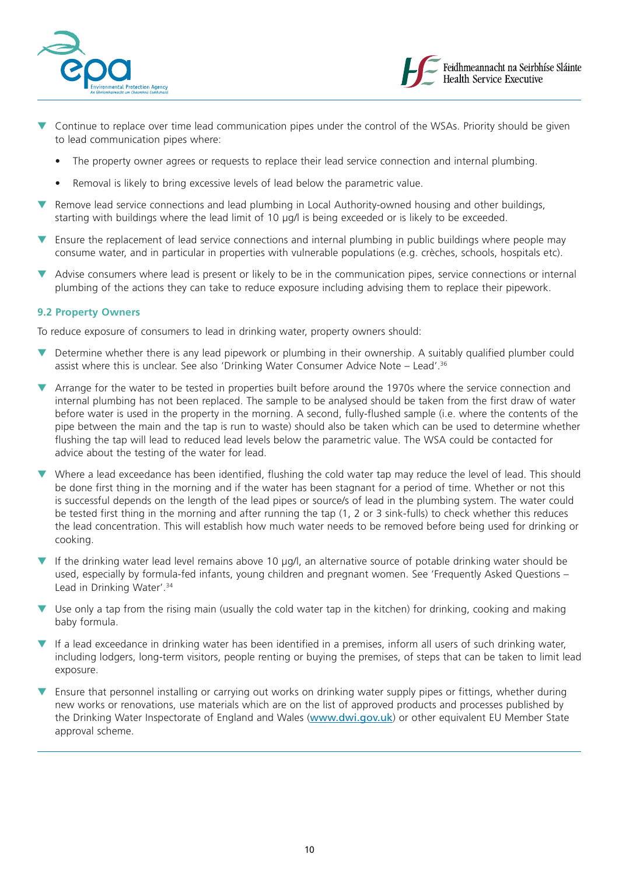



- Continue to replace over time lead communication pipes under the control of the WSAs. Priority should be given to lead communication pipes where:
	- The property owner agrees or requests to replace their lead service connection and internal plumbing.
	- Removal is likely to bring excessive levels of lead below the parametric value.
- Remove lead service connections and lead plumbing in Local Authority-owned housing and other buildings, starting with buildings where the lead limit of 10 µg/l is being exceeded or is likely to be exceeded.
- ▼ Ensure the replacement of lead service connections and internal plumbing in public buildings where people may consume water, and in particular in properties with vulnerable populations (e.g. crèches, schools, hospitals etc).
- ▼ Advise consumers where lead is present or likely to be in the communication pipes, service connections or internal plumbing of the actions they can take to reduce exposure including advising them to replace their pipework.

#### **9.2 Property Owners**

To reduce exposure of consumers to lead in drinking water, property owners should:

- Determine whether there is any lead pipework or plumbing in their ownership. A suitably qualified plumber could assist where this is unclear. See also 'Drinking Water Consumer Advice Note – Lead'.36
- Arrange for the water to be tested in properties built before around the 1970s where the service connection and internal plumbing has not been replaced. The sample to be analysed should be taken from the first draw of water before water is used in the property in the morning. A second, fully-flushed sample (i.e. where the contents of the pipe between the main and the tap is run to waste) should also be taken which can be used to determine whether flushing the tap will lead to reduced lead levels below the parametric value. The WSA could be contacted for advice about the testing of the water for lead.
- Where a lead exceedance has been identified, flushing the cold water tap may reduce the level of lead. This should be done first thing in the morning and if the water has been stagnant for a period of time. Whether or not this is successful depends on the length of the lead pipes or source/s of lead in the plumbing system. The water could be tested first thing in the morning and after running the tap (1, 2 or 3 sink-fulls) to check whether this reduces the lead concentration. This will establish how much water needs to be removed before being used for drinking or cooking.
- ▼ If the drinking water lead level remains above 10 µg/l, an alternative source of potable drinking water should be used, especially by formula-fed infants, young children and pregnant women. See 'Frequently Asked Questions – Lead in Drinking Water'.34
- ▼ Use only a tap from the rising main (usually the cold water tap in the kitchen) for drinking, cooking and making baby formula.
- If a lead exceedance in drinking water has been identified in a premises, inform all users of such drinking water, including lodgers, long-term visitors, people renting or buying the premises, of steps that can be taken to limit lead exposure.
- Ensure that personnel installing or carrying out works on drinking water supply pipes or fittings, whether during new works or renovations, use materials which are on the list of approved products and processes published by the Drinking Water Inspectorate of England and Wales ([www.dwi.gov.uk](http://dwi.defra.gov.uk/)) or other equivalent EU Member State approval scheme.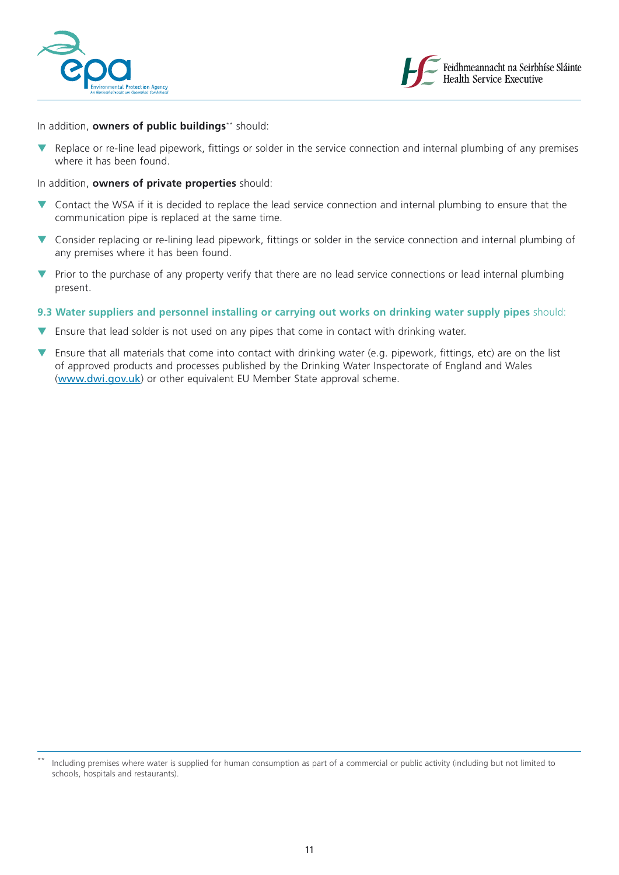



In addition, **owners of public buildings**\*\* should:

Replace or re-line lead pipework, fittings or solder in the service connection and internal plumbing of any premises where it has been found.

#### In addition, **owners of private properties** should:

- ▼ Contact the WSA if it is decided to replace the lead service connection and internal plumbing to ensure that the communication pipe is replaced at the same time.
- ▼ Consider replacing or re-lining lead pipework, fittings or solder in the service connection and internal plumbing of any premises where it has been found.
- ▼ Prior to the purchase of any property verify that there are no lead service connections or lead internal plumbing present.

## **9.3 Water suppliers and personnel installing or carrying out works on drinking water supply pipes** should:

- Ensure that lead solder is not used on any pipes that come in contact with drinking water.
- Ensure that all materials that come into contact with drinking water (e.g. pipework, fittings, etc) are on the list of approved products and processes published by the Drinking Water Inspectorate of England and Wales ([www.dwi.gov.uk](http://dwi.defra.gov.uk/)) or other equivalent EU Member State approval scheme.

<sup>\*\*</sup> Including premises where water is supplied for human consumption as part of a commercial or public activity (including but not limited to schools, hospitals and restaurants).